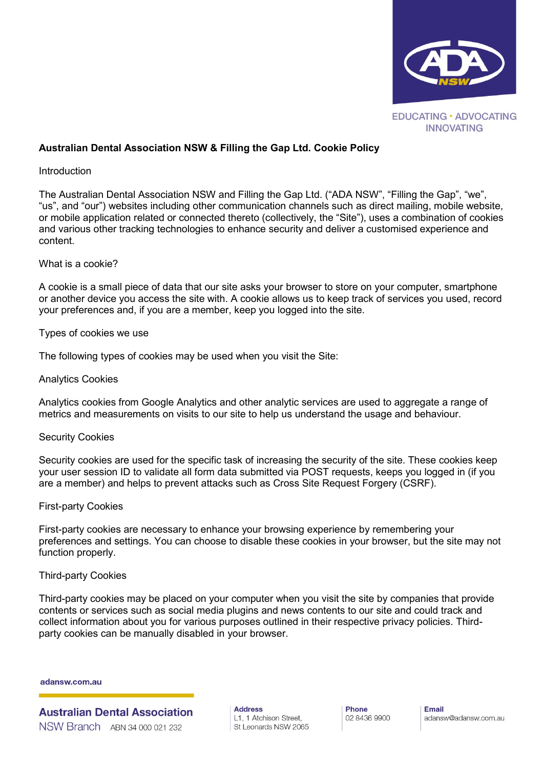

# **Australian Dental Association NSW & Filling the Gap Ltd. Cookie Policy**

### Introduction

The Australian Dental Association NSW and Filling the Gap Ltd. ("ADA NSW", "Filling the Gap", "we", "us", and "our") websites including other communication channels such as direct mailing, mobile website, or mobile application related or connected thereto (collectively, the "Site"), uses a combination of cookies and various other tracking technologies to enhance security and deliver a customised experience and content.

### What is a cookie?

A cookie is a small piece of data that our site asks your browser to store on your computer, smartphone or another device you access the site with. A cookie allows us to keep track of services you used, record your preferences and, if you are a member, keep you logged into the site.

Types of cookies we use

The following types of cookies may be used when you visit the Site:

Analytics Cookies

Analytics cookies from Google Analytics and other analytic services are used to aggregate a range of metrics and measurements on visits to our site to help us understand the usage and behaviour.

### Security Cookies

Security cookies are used for the specific task of increasing the security of the site. These cookies keep your user session ID to validate all form data submitted via POST requests, keeps you logged in (if you are a member) and helps to prevent attacks such as Cross Site Request Forgery (CSRF).

### First-party Cookies

First-party cookies are necessary to enhance your browsing experience by remembering your preferences and settings. You can choose to disable these cookies in your browser, but the site may not function properly.

### Third-party Cookies

Third-party cookies may be placed on your computer when you visit the site by companies that provide contents or services such as social media plugins and news contents to our site and could track and collect information about you for various purposes outlined in their respective privacy policies. Thirdparty cookies can be manually disabled in your browser.

#### adansw.com.au

**Australian Dental Association** NSW Branch ABN 34 000 021 232

**Address** L1, 1 Atchison Street, St Leonards NSW 2065 Phone 02 8436 9900 **Fmail** adansw@adansw.com.au